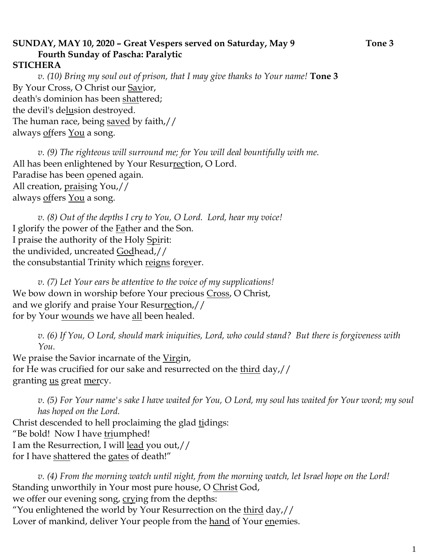## **SUNDAY, MAY 10, 2020 – Great Vespers served on Saturday, May 9 Tone 3 Fourth Sunday of Pascha: Paralytic**

## **STICHERA**

*v. (10) Bring my soul out of prison, that I may give thanks to Your name!* **Tone 3** By Your Cross, O Christ our <u>Sav</u>ior, death's dominion has been shattered; the devil's delusion destroyed. The human race, being <u>saved</u> by faith,// always <u>off</u>ers <u>You</u> a song.

*v. (9) The righteous will surround me; for You will deal bountifully with me.*  All has been enlightened by Your Resurrection, O Lord. Paradise has been opened again. All creation, praising You,// always offers You a song.

*v. (8) Out of the depths I cry to You, O Lord. Lord, hear my voice!*  I glorify the power of the Father and the Son. I praise the authority of the Holy Spirit: the undivided, uncreated Godhead,// the consubstantial Trinity which reigns forever.

*v. (7) Let Your ears be attentive to the voice of my supplications!* We bow down in worship before Your precious Cross, O Christ, and we glorify and praise Your Resurrection,// for by Your wounds we have all been healed.

*v. (6) If You, O Lord, should mark iniquities, Lord, who could stand? But there is forgiveness with You.* 

We praise the Savior incarnate of the Virgin, for He was crucified for our sake and resurrected on the third day,// granting <u>us</u> great mercy.

*v. (5) For Your name's sake I have waited for You, O Lord, my soul has waited for Your word; my soul has hoped on the Lord.* 

Christ descended to hell proclaiming the glad tidings: "Be bold! Now I have triumphed! I am the Resurrection, I will lead you out,// for I have shattered the gates of death!"

*v. (4) From the morning watch until night, from the morning watch, let Israel hope on the Lord!* Standing unworthily in Your most pure house, O Christ God, we offer our evening song, crying from the depths: "You enlightened the world by Your Resurrection on the <u>third</u> day,// Lover of mankind, deliver Your people from the hand of Your enemies.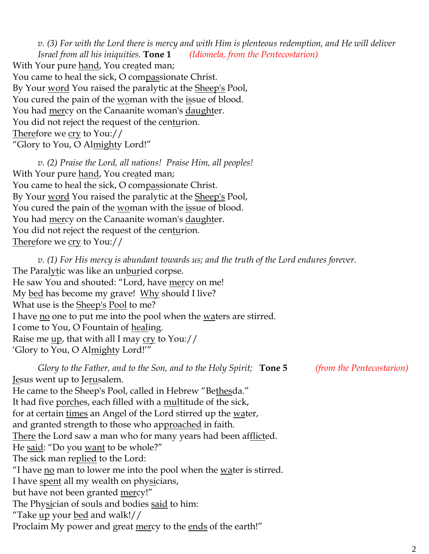*v. (3) For with the Lord there is mercy and with Him is plenteous redemption, and He will deliver Israel from all his iniquities.* **Tone 1** *(Idiomela, from the Pentecostarion)* With Your pure hand, You created man; You came to heal the sick, O compassionate Christ. By Your word You raised the paralytic at the Sheep's Pool, You cured the pain of the woman with the issue of blood. You had <u>mer</u>cy on the Canaanite woman's <u>daught</u>er. You did not reject the request of the centurion. Therefore we cry to You:// "Glory to You, O Almighty Lord!"

*v. (2) Praise the Lord, all nations! Praise Him, all peoples!* With Your pure hand, You created man; You came to heal the sick, O compassionate Christ. By Your word You raised the paralytic at the Sheep's Pool, You cured the pain of the woman with the issue of blood. You had mercy on the Canaanite woman's daughter. You did not reject the request of the centurion. Therefore we cry to You://

*v. (1) For His mercy is abundant towards us; and the truth of the Lord endures forever.*  The Paralytic was like an unburied corpse. He saw You and shouted: "Lord, have mercy on me! My bed has become my grave! Why should I live? What use is the **Sheep's Pool** to me? I have <u>no</u> one to put me into the pool when the <u>waters</u> are stirred. I come to You, O Fountain of healing. Raise me up, that with all I may cry to You:// 'Glory to You, O Almighty Lord!'"

*Glory to the Father, and to the Son, and to the Holy Spirit;* **Tone 5** *(from the Pentecostarion)* Jesus went up to Jerusalem. He came to the Sheep's Pool, called in Hebrew "Bethesda." It had five porches, each filled with a multitude of the sick, for at certain times an Angel of the Lord stirred up the <u>wat</u>er, and granted strength to those who approached in faith. There the Lord saw a man who for many years had been afflicted. He said: "Do you want to be whole?" The sick man replied to the Lord: "I have  $\underline{n}$  man to lower me into the pool when the water is stirred. I have spent all my wealth on physicians, but have not been granted mercy!" The Physician of souls and bodies said to him: "Take <u>up</u> your <u>bed</u> and walk!// Proclaim My power and great mercy to the ends of the earth!"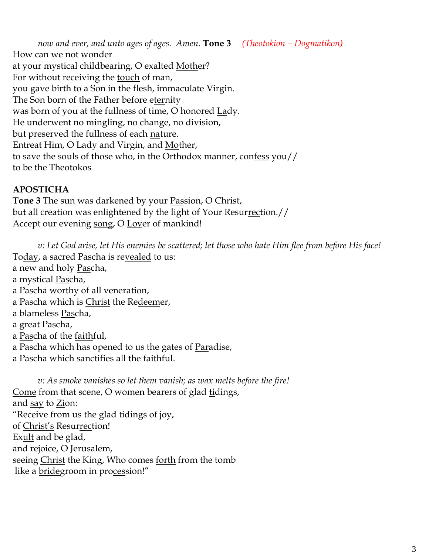*now and ever, and unto ages of ages. Amen.* **Tone 3** *(Theotokion – Dogmatikon)* How can we not wonder at your mystical childbearing, O exalted Mother? For without receiving the touch of man, you gave birth to a Son in the flesh, immaculate Virgin. The Son born of the Father before eternity was born of you at the fullness of time, O honored Lady. He underwent no mingling, no change, no division, but preserved the fullness of each nature. Entreat Him, O Lady and Virgin, and Mother, to save the souls of those who, in the Orthodox manner, confess you// to be the Theotokos

#### **APOSTICHA**

**Tone 3** The sun was darkened by your Passion, O Christ, but all creation was enlightened by the light of Your Resurrection.// Accept our evening song, O Lover of mankind!

*v: Let God arise, let His enemies be scattered; let those who hate Him flee from before His face!* To<u>day</u>, a sacred Pascha is re<u>vealed</u> to us: a new and holy Pascha, a mystical Pascha, a Pascha worthy of all veneration, a Pascha which is Christ the Redeemer, a blameless Pascha, a great Pascha, a Pascha of the faithful, a Pascha which has opened to us the gates of Paradise, a Pascha which sanctifies all the faithful.

*v: As smoke vanishes so let them vanish; as wax melts before the fire!* Come from that scene, O women bearers of glad tidings, and say to Zion: "Receive from us the glad tidings of joy, of Christ's Resurrection! Exult and be glad, and rejoice, O Jerusalem, seeing Christ the King, Who comes forth from the tomb like a **bridegroom** in procession!"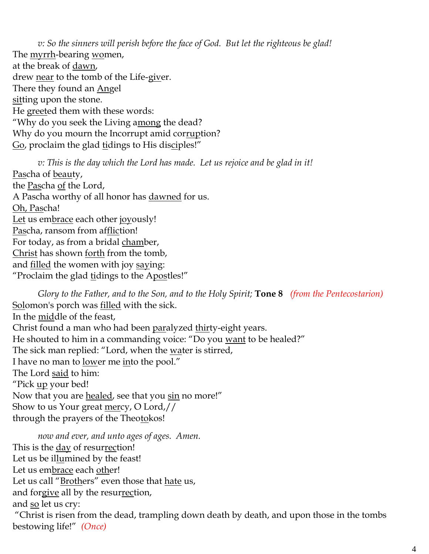*v: So the sinners will perish before the face of God. But let the righteous be glad!* The myrrh-bearing women, at the break of dawn, drew near to the tomb of the Life-giver. There they found an Angel sitting upon the stone. He greeted them with these words: "Why do you seek the Living among the dead? Why do you mourn the Incorrupt amid corruption? Go, proclaim the glad tidings to His disciples!"

*v: This is the day which the Lord has made. Let us rejoice and be glad in it!* Pascha of beauty, the Pascha of the Lord, A Pascha worthy of all honor has dawned for us. Oh, Pascha! Let us embrace each other joyously! Pascha, ransom from affliction! For today, as from a bridal chamber, Christ has shown forth from the tomb, and <u>filled</u> the women with joy saying: "Proclaim the glad tidings to the Apostles!"

*Glory to the Father, and to the Son, and to the Holy Spirit;* **Tone 8** *(from the Pentecostarion)* Solomon's porch was <u>filled</u> with the sick. In the middle of the feast, Christ found a man who had been paralyzed thirty-eight years. He shouted to him in a commanding voice: "Do you want to be healed?" The sick man replied: "Lord, when the water is stirred, I have no man to lower me into the pool." The Lord said to him: "Pick up your bed! Now that you are healed, see that you sin no more!" Show to us Your great mercy, O Lord,// through the prayers of the Theotokos!

*now and ever, and unto ages of ages. Amen.*  This is the day of resurrection! Let us be illumined by the feast! Let us embrace each other! Let us call "Brothers" even those that hate us, and forgive all by the resurrection, and <u>so</u> let us cry: "Christ is risen from the dead, trampling down death by death, and upon those in the tombs bestowing life!" *(Once)*